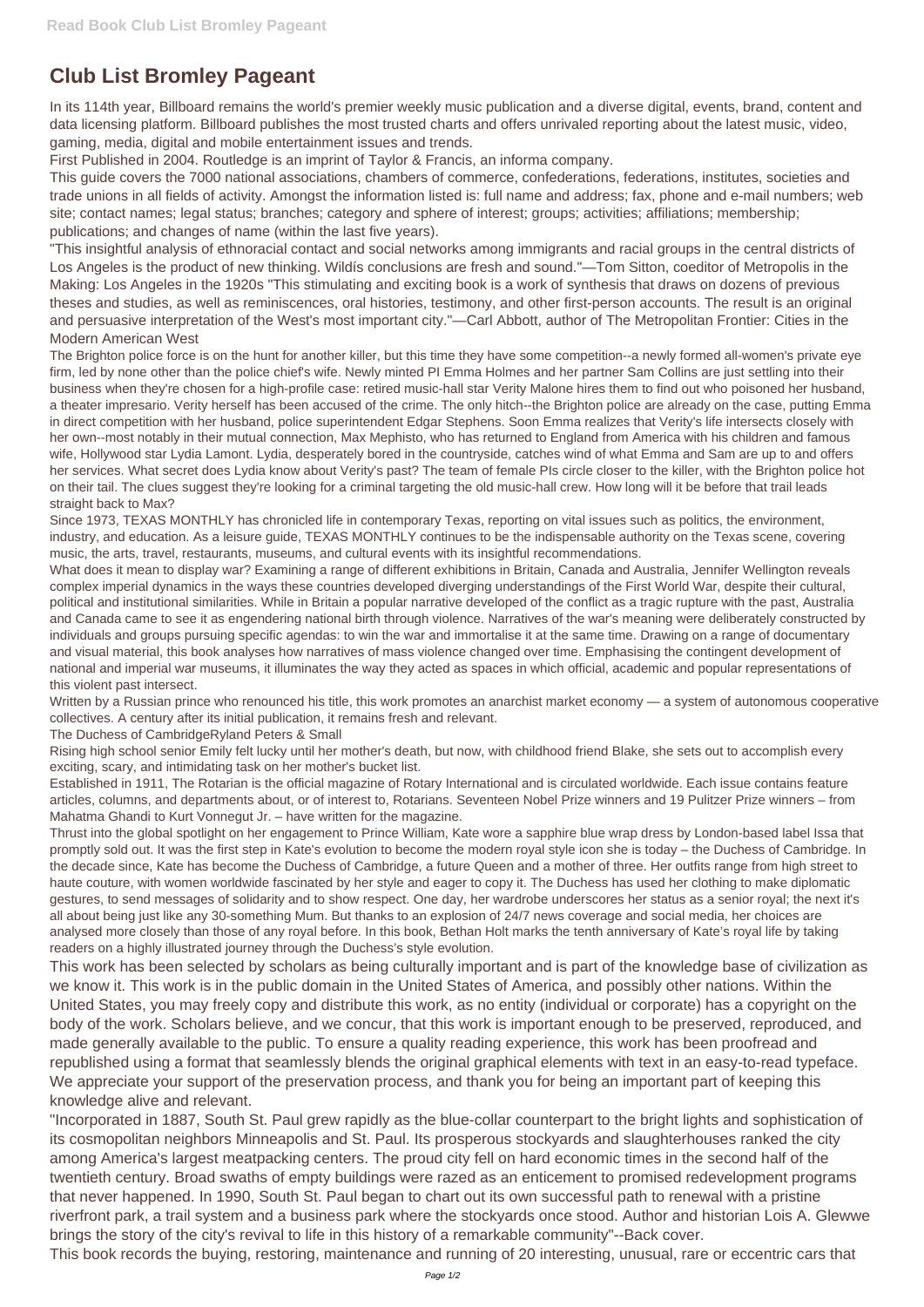## **Club List Bromley Pageant**

In its 114th year, Billboard remains the world's premier weekly music publication and a diverse digital, events, brand, content and data licensing platform. Billboard publishes the most trusted charts and offers unrivaled reporting about the latest music, video, gaming, media, digital and mobile entertainment issues and trends.

First Published in 2004. Routledge is an imprint of Taylor & Francis, an informa company.

This guide covers the 7000 national associations, chambers of commerce, confederations, federations, institutes, societies and trade unions in all fields of activity. Amongst the information listed is: full name and address; fax, phone and e-mail numbers; web site; contact names; legal status; branches; category and sphere of interest; groups; activities; affiliations; membership; publications; and changes of name (within the last five years).

"This insightful analysis of ethnoracial contact and social networks among immigrants and racial groups in the central districts of Los Angeles is the product of new thinking. Wildís conclusions are fresh and sound."—Tom Sitton, coeditor of Metropolis in the Making: Los Angeles in the 1920s "This stimulating and exciting book is a work of synthesis that draws on dozens of previous theses and studies, as well as reminiscences, oral histories, testimony, and other first-person accounts. The result is an original and persuasive interpretation of the West's most important city."—Carl Abbott, author of The Metropolitan Frontier: Cities in the Modern American West

The Brighton police force is on the hunt for another killer, but this time they have some competition--a newly formed all-women's private eye firm, led by none other than the police chief's wife. Newly minted PI Emma Holmes and her partner Sam Collins are just settling into their business when they're chosen for a high-profile case: retired music-hall star Verity Malone hires them to find out who poisoned her husband, a theater impresario. Verity herself has been accused of the crime. The only hitch--the Brighton police are already on the case, putting Emma in direct competition with her husband, police superintendent Edgar Stephens. Soon Emma realizes that Verity's life intersects closely with her own--most notably in their mutual connection, Max Mephisto, who has returned to England from America with his children and famous wife, Hollywood star Lydia Lamont. Lydia, desperately bored in the countryside, catches wind of what Emma and Sam are up to and offers her services. What secret does Lydia know about Verity's past? The team of female PIs circle closer to the killer, with the Brighton police hot on their tail. The clues suggest they're looking for a criminal targeting the old music-hall crew. How long will it be before that trail leads straight back to Max?

Since 1973, TEXAS MONTHLY has chronicled life in contemporary Texas, reporting on vital issues such as politics, the environment, industry, and education. As a leisure guide, TEXAS MONTHLY continues to be the indispensable authority on the Texas scene, covering music, the arts, travel, restaurants, museums, and cultural events with its insightful recommendations.

What does it mean to display war? Examining a range of different exhibitions in Britain, Canada and Australia, Jennifer Wellington reveals complex imperial dynamics in the ways these countries developed diverging understandings of the First World War, despite their cultural, political and institutional similarities. While in Britain a popular narrative developed of the conflict as a tragic rupture with the past, Australia and Canada came to see it as engendering national birth through violence. Narratives of the war's meaning were deliberately constructed by individuals and groups pursuing specific agendas: to win the war and immortalise it at the same time. Drawing on a range of documentary and visual material, this book analyses how narratives of mass violence changed over time. Emphasising the contingent development of national and imperial war museums, it illuminates the way they acted as spaces in which official, academic and popular representations of this violent past intersect.

Written by a Russian prince who renounced his title, this work promotes an anarchist market economy — a system of autonomous cooperative collectives. A century after its initial publication, it remains fresh and relevant.

The Duchess of CambridgeRyland Peters & Small

Rising high school senior Emily felt lucky until her mother's death, but now, with childhood friend Blake, she sets out to accomplish every exciting, scary, and intimidating task on her mother's bucket list.

Established in 1911, The Rotarian is the official magazine of Rotary International and is circulated worldwide. Each issue contains feature articles, columns, and departments about, or of interest to, Rotarians. Seventeen Nobel Prize winners and 19 Pulitzer Prize winners – from Mahatma Ghandi to Kurt Vonnegut Jr. – have written for the magazine.

Thrust into the global spotlight on her engagement to Prince William, Kate wore a sapphire blue wrap dress by London-based label Issa that promptly sold out. It was the first step in Kate's evolution to become the modern royal style icon she is today – the Duchess of Cambridge. In the decade since, Kate has become the Duchess of Cambridge, a future Queen and a mother of three. Her outfits range from high street to haute couture, with women worldwide fascinated by her style and eager to copy it. The Duchess has used her clothing to make diplomatic gestures, to send messages of solidarity and to show respect. One day, her wardrobe underscores her status as a senior royal; the next it's all about being just like any 30-something Mum. But thanks to an explosion of 24/7 news coverage and social media, her choices are analysed more closely than those of any royal before. In this book, Bethan Holt marks the tenth anniversary of Kate's royal life by taking readers on a highly illustrated journey through the Duchess's style evolution.

This work has been selected by scholars as being culturally important and is part of the knowledge base of civilization as we know it. This work is in the public domain in the United States of America, and possibly other nations. Within the United States, you may freely copy and distribute this work, as no entity (individual or corporate) has a copyright on the body of the work. Scholars believe, and we concur, that this work is important enough to be preserved, reproduced, and made generally available to the public. To ensure a quality reading experience, this work has been proofread and republished using a format that seamlessly blends the original graphical elements with text in an easy-to-read typeface. We appreciate your support of the preservation process, and thank you for being an important part of keeping this knowledge alive and relevant. "Incorporated in 1887, South St. Paul grew rapidly as the blue-collar counterpart to the bright lights and sophistication of its cosmopolitan neighbors Minneapolis and St. Paul. Its prosperous stockyards and slaughterhouses ranked the city among America's largest meatpacking centers. The proud city fell on hard economic times in the second half of the twentieth century. Broad swaths of empty buildings were razed as an enticement to promised redevelopment programs that never happened. In 1990, South St. Paul began to chart out its own successful path to renewal with a pristine riverfront park, a trail system and a business park where the stockyards once stood. Author and historian Lois A. Glewwe brings the story of the city's revival to life in this history of a remarkable community"--Back cover. This book records the buying, restoring, maintenance and running of 20 interesting, unusual, rare or eccentric cars that